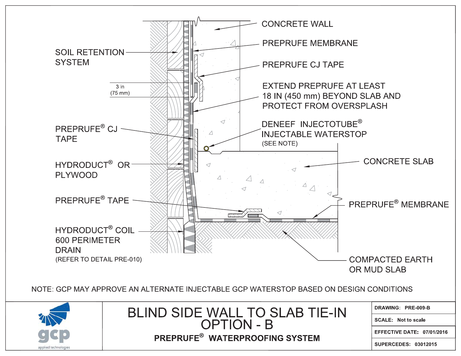